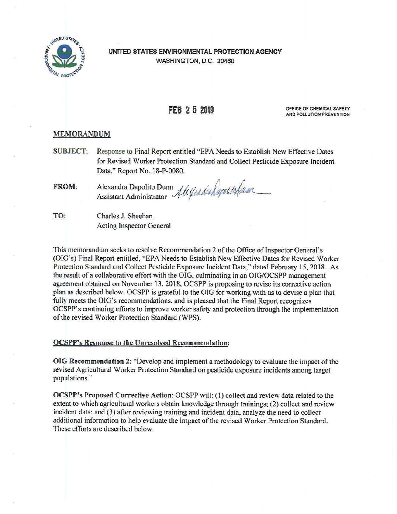

## UNITED STATES ENVIRONMENTAL PROTECTION AGENCY WASHINGTON, D.C. 20460

# FEB 2 5 2019

OFFICE OF CHEMICAL SAFETY AND POLLUTION PREVENTION

## **MEMORANDUM**

**SUBJECT:** Response to Final Report entitled "EPA Needs to Establish New Effective Dates for Revised Worker Protection Standard and Collect Pesticide Exposure Incident Data," Report No. 18-P-0080.

Alexandra Dapolito Dunn<br>Assistant Administrator All Yandra Capolita Quan **FROM:** 

TO: Charles J. Sheehan Acting Inspector General

This memorandum seeks to resolve Recommendation 2 of the Office of Inspector General's (OIG's) Final Report entitled, "EPA Needs to Establish New Effective Dates for Revised Worker Protection Standard and Collect Pesticide Exposure Incident Data," dated February 15, 2018. As the result of a collaborative effort with the OIG, culminating in an OIG/OCSPP management agreement obtained on November 13, 2018, OCSPP is proposing to revise its corrective action plan as described below. OCSPP is grateful to the OIG for working with us to devise a plan that fully meets the OIG's recommendations, and is pleased that the Final Report recognizes OCSPP's continuing efforts to improve worker safety and protection through the implementation of the revised Worker Protection Standard (WPS).

## **OCSPP's Response to the Unresolved Recommendation:**

OIG Recommendation 2: "Develop and implement a methodology to evaluate the impact of the revised Agricultural Worker Protection Standard on pesticide exposure incidents among target populations."

**OCSPP's Proposed Corrective Action:** OCSPP will: (1) collect and review data related to the extent to which agricultural workers obtain knowledge through trainings; (2) collect and review incident data; and (3) after reviewing training and incident data, analyze the need to collect additional information to help evaluate the impact of the revised Worker Protection Standard. These efforts are described below.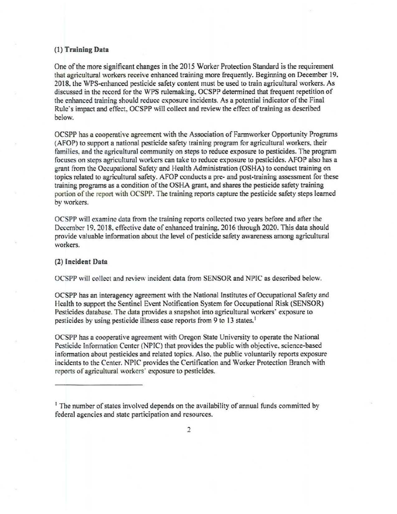### (1) Training Data

One of the more significant changes in the 2015 Worker Protection Standard is the requirement that agricultural workers receive enhanced training more frequently. Beginning on December 19. 2018. the WPS-enhanced pesticide safety content must be used to train agricultura] workers. As discussed in the record for the WPS rulemaking. OCSPP determined that frequent repetition of the enhanced training should reduce exposure incidents. As a potential indicator of the Final Rule·s impact and effect. OCSPP will collect and review the effect oftraining as described below.

OCSPP has a cooperative agreement with the Association of Fannworker Opportunity Programs (AFOP) to support a national pesticide safety training program for agricultural workers, their families. and the agricultural community on steps to reduce exposure to pesticides. The program focuses on steps agricultural workers can take to reduce exposure to pesticides. AFOP also has a grant from the Occupational Safety and Health Administration (OSHA) to conduct training on topics related to agricultural safety. AFOP conducts a pre- and post-training assessment for these training programs as a condition of the OSHA grant, and shares the pesticide safety training portion of the report with OCSPP. The training reports capture the pesticide safety steps learned by workers.

OCSPP will examine data from the training reports collected two years before and after the December 19, 2018, effective date of enhanced training, 2016 through 2020. This data should provide valuable information about the level of pesticide safety awareness among agricultural workers.

### (2) Incident Data

OCSPP will collect and review incident data from SENSOR and NPIC as described below.

OCSPP has an interagency agreement with the National Institutes of Occupational Safety and Health to support the Sentinel Event Notification System for Occupational Risk (SENSOR) Pesticides database. The data provides a snapshot into agricultural workers' exposure to pesticides by using pesticide illness case reports from 9 to 13 states.<sup>1</sup>

OCSPP has a cooperative agreement with Oregon State University to operate the National Pesticide Information Center (NPIC) that provides the public with objective, science-based information about pesticides and related topics. Also. the public voluntarily reports exposure incidents to the Center. NPIC provides the Certification and Worker Protection Branch with reports of agricultural workers' exposure to pesticides.

<sup>&</sup>lt;sup>1</sup> The number of states involved depends on the availability of annual funds committed by federal agencies and state participation and resources.